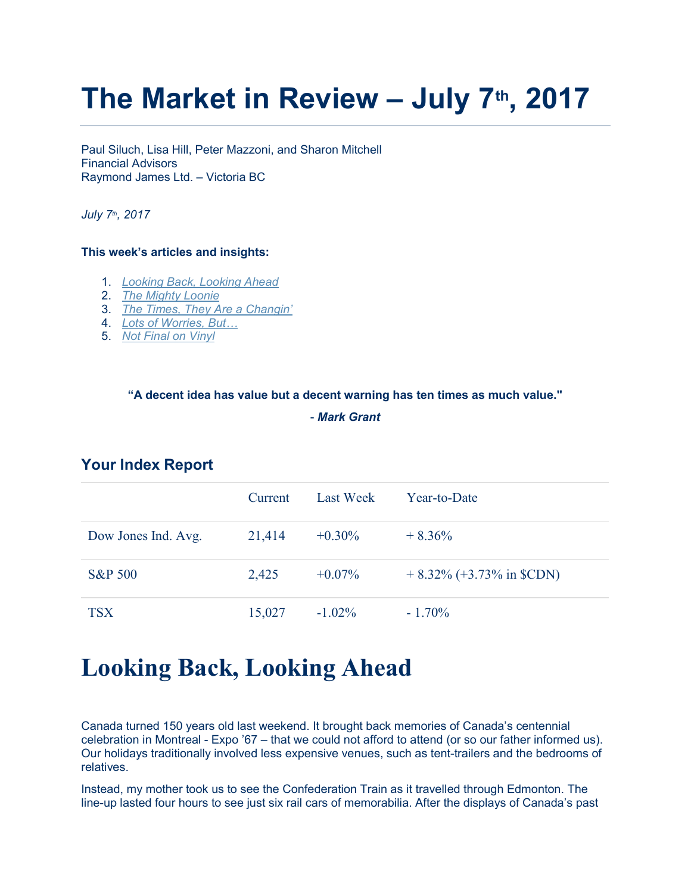# The Market in Review  $-$  July 7<sup>th</sup>, 2017

Paul Siluch, Lisa Hill, Peter Mazzoni, and Sharon Mitchell Financial Advisors Raymond James Ltd. – Victoria BC

July 7<sup>th</sup>, 2017

### This week's articles and insights:

- 1. Looking Back, Looking Ahead
- 2. The Mighty Loonie
- 3. The Times, They Are a Changin'
- 4. Lots of Worries, But…
- 5. Not Final on Vinyl

#### "A decent idea has value but a decent warning has ten times as much value."

#### - Mark Grant

|                     | <b>Current</b> | Last Week | Year-to-Date                |
|---------------------|----------------|-----------|-----------------------------|
| Dow Jones Ind. Avg. | 21,414         | $+0.30\%$ | $+8.36\%$                   |
| <b>S&amp;P 500</b>  | 2,425          | $+0.07\%$ | $+8.32\%$ (+3.73% in \$CDN) |
| <b>TSX</b>          | 15,027         | $-1.02\%$ | $-1.70\%$                   |

### Your Index Report

# Looking Back, Looking Ahead

Canada turned 150 years old last weekend. It brought back memories of Canada's centennial celebration in Montreal - Expo '67 – that we could not afford to attend (or so our father informed us). Our holidays traditionally involved less expensive venues, such as tent-trailers and the bedrooms of relatives.

Instead, my mother took us to see the Confederation Train as it travelled through Edmonton. The line-up lasted four hours to see just six rail cars of memorabilia. After the displays of Canada's past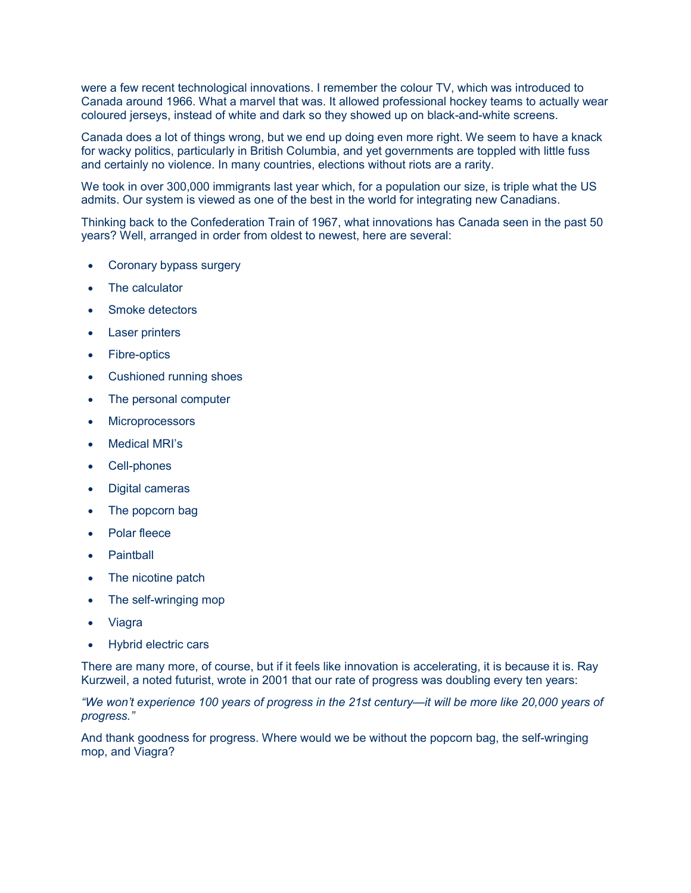were a few recent technological innovations. I remember the colour TV, which was introduced to Canada around 1966. What a marvel that was. It allowed professional hockey teams to actually wear coloured jerseys, instead of white and dark so they showed up on black-and-white screens.

Canada does a lot of things wrong, but we end up doing even more right. We seem to have a knack for wacky politics, particularly in British Columbia, and yet governments are toppled with little fuss and certainly no violence. In many countries, elections without riots are a rarity.

We took in over 300,000 immigrants last year which, for a population our size, is triple what the US admits. Our system is viewed as one of the best in the world for integrating new Canadians.

Thinking back to the Confederation Train of 1967, what innovations has Canada seen in the past 50 years? Well, arranged in order from oldest to newest, here are several:

- Coronary bypass surgery
- The calculator
- Smoke detectors
- Laser printers
- Fibre-optics
- Cushioned running shoes
- The personal computer
- Microprocessors
- Medical MRI's
- Cell-phones
- Digital cameras
- The popcorn bag
- Polar fleece
- **Paintball**
- The nicotine patch
- The self-wringing mop
- Viagra
- Hybrid electric cars

There are many more, of course, but if it feels like innovation is accelerating, it is because it is. Ray Kurzweil, a noted futurist, wrote in 2001 that our rate of progress was doubling every ten years:

"We won't experience 100 years of progress in the 21st century—it will be more like 20,000 years of progress."

And thank goodness for progress. Where would we be without the popcorn bag, the self-wringing mop, and Viagra?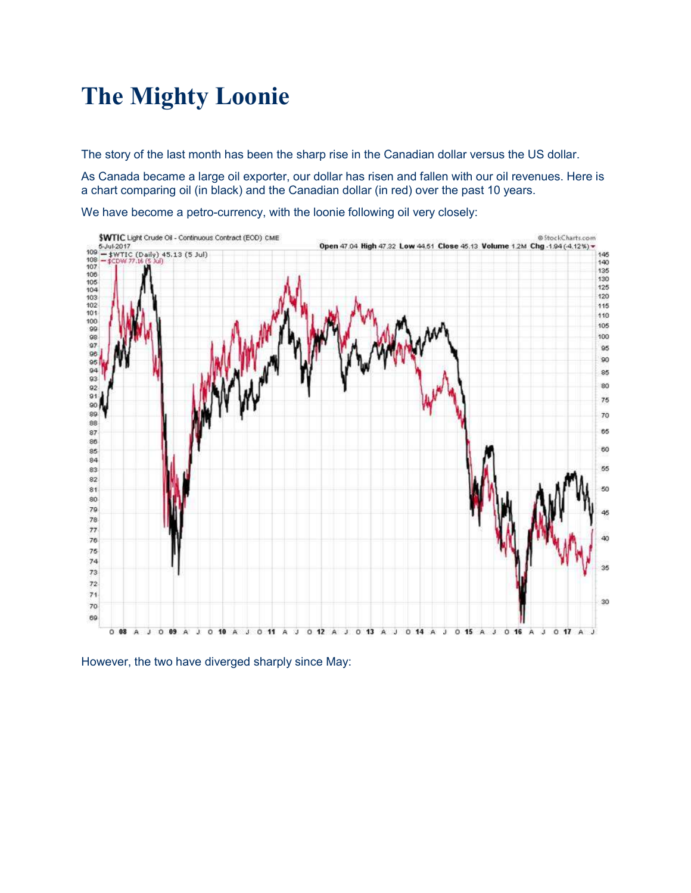# The Mighty Loonie

The story of the last month has been the sharp rise in the Canadian dollar versus the US dollar.

As Canada became a large oil exporter, our dollar has risen and fallen with our oil revenues. Here is a chart comparing oil (in black) and the Canadian dollar (in red) over the past 10 years.



We have become a petro-currency, with the loonie following oil very closely:

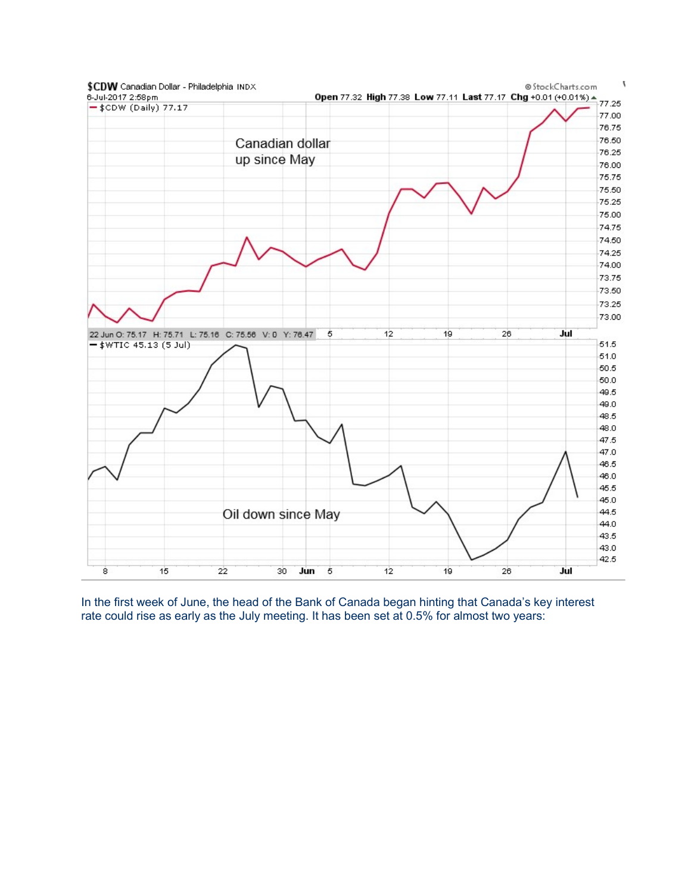

In the first week of June, the head of the Bank of Canada began hinting that Canada's key interest rate could rise as early as the July meeting. It has been set at 0.5% for almost two years: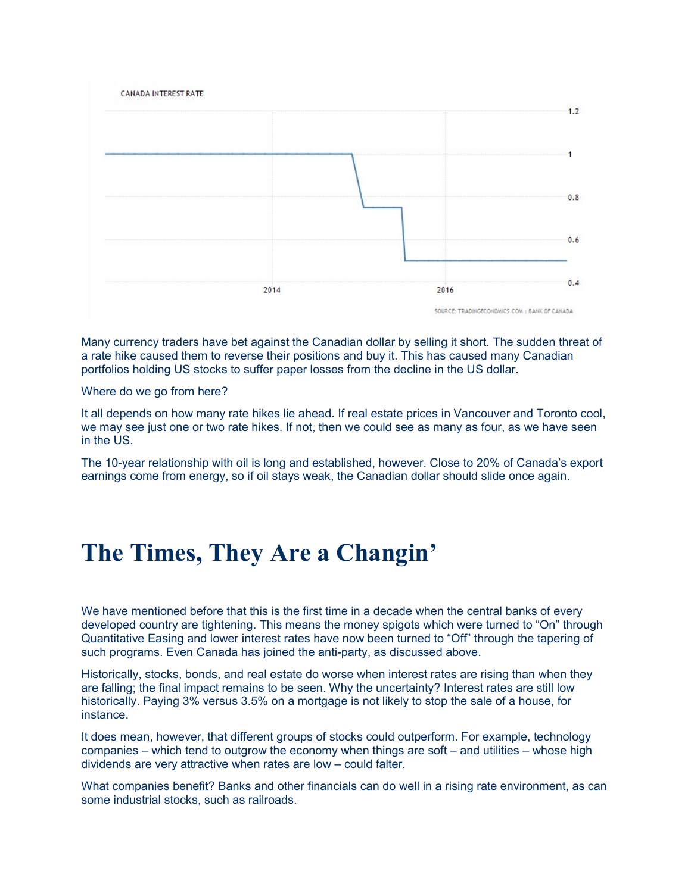

Many currency traders have bet against the Canadian dollar by selling it short. The sudden threat of a rate hike caused them to reverse their positions and buy it. This has caused many Canadian portfolios holding US stocks to suffer paper losses from the decline in the US dollar.

Where do we go from here?

It all depends on how many rate hikes lie ahead. If real estate prices in Vancouver and Toronto cool, we may see just one or two rate hikes. If not, then we could see as many as four, as we have seen in the US.

The 10-year relationship with oil is long and established, however. Close to 20% of Canada's export earnings come from energy, so if oil stays weak, the Canadian dollar should slide once again.

# The Times, They Are a Changin'

We have mentioned before that this is the first time in a decade when the central banks of every developed country are tightening. This means the money spigots which were turned to "On" through Quantitative Easing and lower interest rates have now been turned to "Off" through the tapering of such programs. Even Canada has joined the anti-party, as discussed above.

Historically, stocks, bonds, and real estate do worse when interest rates are rising than when they are falling; the final impact remains to be seen. Why the uncertainty? Interest rates are still low historically. Paying 3% versus 3.5% on a mortgage is not likely to stop the sale of a house, for instance.

It does mean, however, that different groups of stocks could outperform. For example, technology companies – which tend to outgrow the economy when things are soft – and utilities – whose high dividends are very attractive when rates are low – could falter.

What companies benefit? Banks and other financials can do well in a rising rate environment, as can some industrial stocks, such as railroads.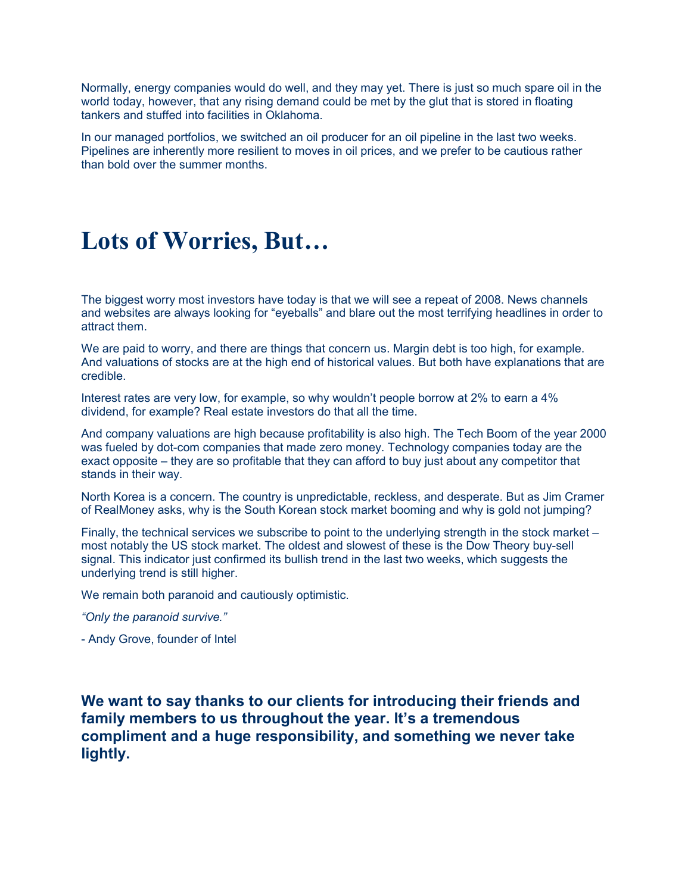Normally, energy companies would do well, and they may yet. There is just so much spare oil in the world today, however, that any rising demand could be met by the glut that is stored in floating tankers and stuffed into facilities in Oklahoma.

In our managed portfolios, we switched an oil producer for an oil pipeline in the last two weeks. Pipelines are inherently more resilient to moves in oil prices, and we prefer to be cautious rather than bold over the summer months.

# Lots of Worries, But…

The biggest worry most investors have today is that we will see a repeat of 2008. News channels and websites are always looking for "eyeballs" and blare out the most terrifying headlines in order to attract them.

We are paid to worry, and there are things that concern us. Margin debt is too high, for example. And valuations of stocks are at the high end of historical values. But both have explanations that are credible.

Interest rates are very low, for example, so why wouldn't people borrow at 2% to earn a 4% dividend, for example? Real estate investors do that all the time.

And company valuations are high because profitability is also high. The Tech Boom of the year 2000 was fueled by dot-com companies that made zero money. Technology companies today are the exact opposite – they are so profitable that they can afford to buy just about any competitor that stands in their way.

North Korea is a concern. The country is unpredictable, reckless, and desperate. But as Jim Cramer of RealMoney asks, why is the South Korean stock market booming and why is gold not jumping?

Finally, the technical services we subscribe to point to the underlying strength in the stock market – most notably the US stock market. The oldest and slowest of these is the Dow Theory buy-sell signal. This indicator just confirmed its bullish trend in the last two weeks, which suggests the underlying trend is still higher.

We remain both paranoid and cautiously optimistic.

"Only the paranoid survive."

- Andy Grove, founder of Intel

We want to say thanks to our clients for introducing their friends and family members to us throughout the year. It's a tremendous compliment and a huge responsibility, and something we never take lightly.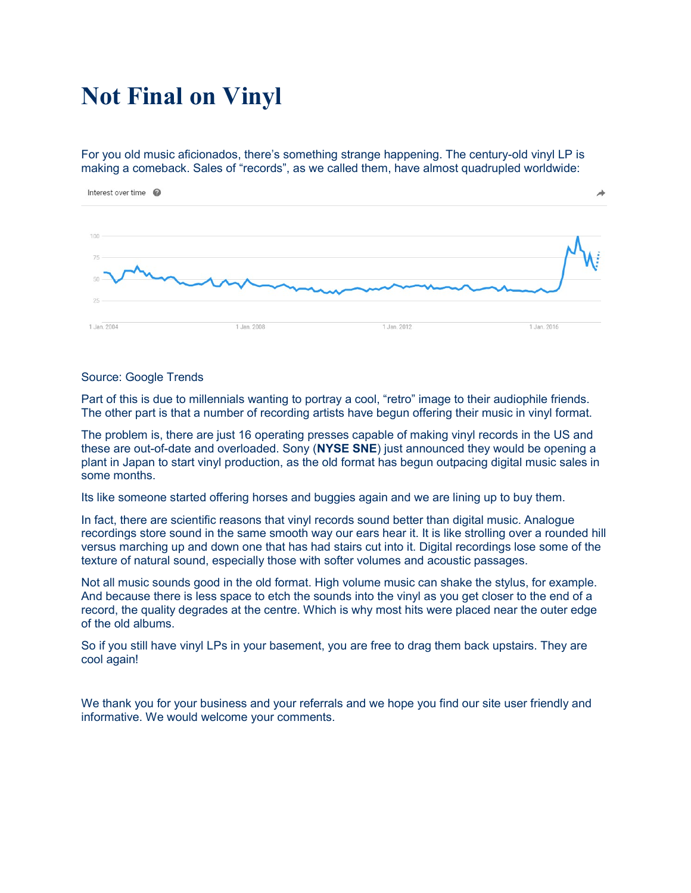# Not Final on Vinyl

For you old music aficionados, there's something strange happening. The century-old vinyl LP is making a comeback. Sales of "records", as we called them, have almost quadrupled worldwide:



#### Source: Google Trends

Part of this is due to millennials wanting to portray a cool, "retro" image to their audiophile friends. The other part is that a number of recording artists have begun offering their music in vinyl format.

The problem is, there are just 16 operating presses capable of making vinyl records in the US and these are out-of-date and overloaded. Sony (NYSE SNE) just announced they would be opening a plant in Japan to start vinyl production, as the old format has begun outpacing digital music sales in some months.

Its like someone started offering horses and buggies again and we are lining up to buy them.

In fact, there are scientific reasons that vinyl records sound better than digital music. Analogue recordings store sound in the same smooth way our ears hear it. It is like strolling over a rounded hill versus marching up and down one that has had stairs cut into it. Digital recordings lose some of the texture of natural sound, especially those with softer volumes and acoustic passages.

Not all music sounds good in the old format. High volume music can shake the stylus, for example. And because there is less space to etch the sounds into the vinyl as you get closer to the end of a record, the quality degrades at the centre. Which is why most hits were placed near the outer edge of the old albums.

So if you still have vinyl LPs in your basement, you are free to drag them back upstairs. They are cool again!

We thank you for your business and your referrals and we hope you find our site user friendly and informative. We would welcome your comments.